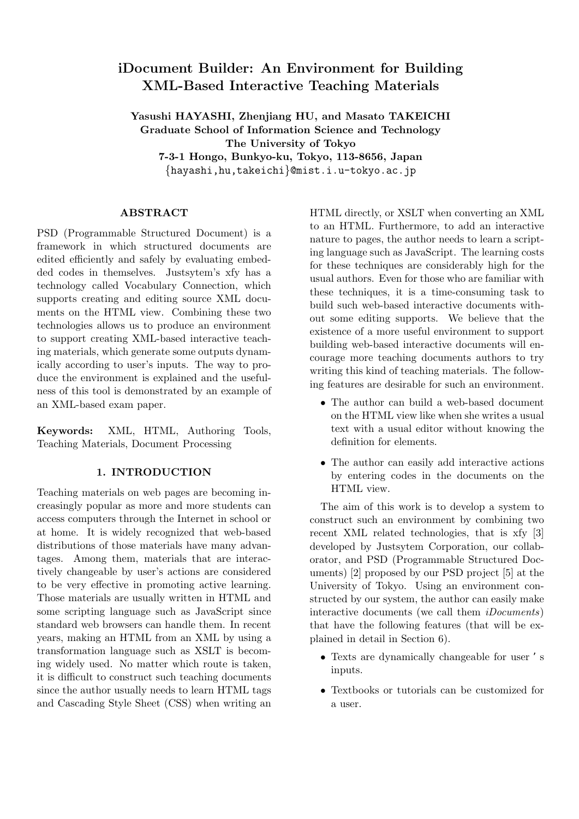# **iDocument Builder: An Environment for Building XML-Based Interactive Teaching Materials**

**Yasushi HAYASHI, Zhenjiang HU, and Masato TAKEICHI Graduate School of Information Science and Technology The University of Tokyo 7-3-1 Hongo, Bunkyo-ku, Tokyo, 113-8656, Japan** *{*hayashi,hu,takeichi*}*@mist.i.u-tokyo.ac.jp

#### **ABSTRACT**

PSD (Programmable Structured Document) is a framework in which structured documents are edited efficiently and safely by evaluating embedded codes in themselves. Justsytem's xfy has a technology called Vocabulary Connection, which supports creating and editing source XML documents on the HTML view. Combining these two technologies allows us to produce an environment to support creating XML-based interactive teaching materials, which generate some outputs dynamically according to user's inputs. The way to produce the environment is explained and the usefulness of this tool is demonstrated by an example of an XML-based exam paper.

**Keywords:** XML, HTML, Authoring Tools, Teaching Materials, Document Processing

#### **1. INTRODUCTION**

Teaching materials on web pages are becoming increasingly popular as more and more students can access computers through the Internet in school or at home. It is widely recognized that web-based distributions of those materials have many advantages. Among them, materials that are interactively changeable by user's actions are considered to be very effective in promoting active learning. Those materials are usually written in HTML and some scripting language such as JavaScript since standard web browsers can handle them. In recent years, making an HTML from an XML by using a transformation language such as XSLT is becoming widely used. No matter which route is taken, it is difficult to construct such teaching documents since the author usually needs to learn HTML tags and Cascading Style Sheet (CSS) when writing an

HTML directly, or XSLT when converting an XML to an HTML. Furthermore, to add an interactive nature to pages, the author needs to learn a scripting language such as JavaScript. The learning costs for these techniques are considerably high for the usual authors. Even for those who are familiar with these techniques, it is a time-consuming task to build such web-based interactive documents without some editing supports. We believe that the existence of a more useful environment to support building web-based interactive documents will encourage more teaching documents authors to try writing this kind of teaching materials. The following features are desirable for such an environment.

- *•* The author can build a web-based document on the HTML view like when she writes a usual text with a usual editor without knowing the definition for elements.
- The author can easily add interactive actions by entering codes in the documents on the HTML view.

The aim of this work is to develop a system to construct such an environment by combining two recent XML related technologies, that is xfy [3] developed by Justsytem Corporation, our collaborator, and PSD (Programmable Structured Documents) [2] proposed by our PSD project [5] at the University of Tokyo. Using an environment constructed by our system, the author can easily make interactive documents (we call them *iDocuments*) that have the following features (that will be explained in detail in Section 6).

- *•* Texts are dynamically changeable for user 's inputs.
- *•* Textbooks or tutorials can be customized for a user.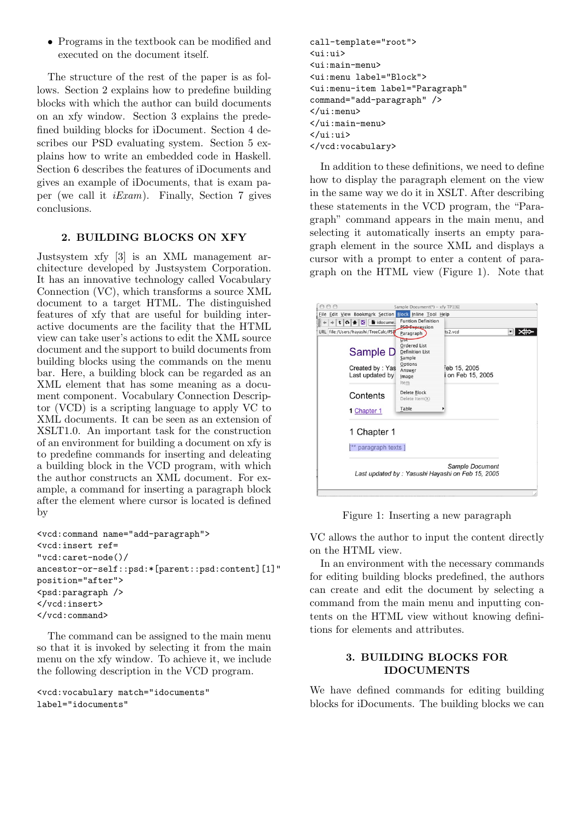*•* Programs in the textbook can be modified and executed on the document itself.

The structure of the rest of the paper is as follows. Section 2 explains how to predefine building blocks with which the author can build documents on an xfy window. Section 3 explains the predefined building blocks for iDocument. Section 4 describes our PSD evaluating system. Section 5 explains how to write an embedded code in Haskell. Section 6 describes the features of iDocuments and gives an example of iDocuments, that is exam paper (we call it *iExam*). Finally, Section 7 gives conclusions.

## **2. BUILDING BLOCKS ON XFY**

Justsystem xfy [3] is an XML management architecture developed by Justsystem Corporation. It has an innovative technology called Vocabulary Connection (VC), which transforms a source XML document to a target HTML. The distinguished features of xfy that are useful for building interactive documents are the facility that the HTML view can take user's actions to edit the XML source document and the support to build documents from building blocks using the commands on the menu bar. Here, a building block can be regarded as an XML element that has some meaning as a document component. Vocabulary Connection Descriptor (VCD) is a scripting language to apply VC to XML documents. It can be seen as an extension of XSLT1.0. An important task for the construction of an environment for building a document on xfy is to predefine commands for inserting and deleating a building block in the VCD program, with which the author constructs an XML document. For example, a command for inserting a paragraph block after the element where cursor is located is defined by

```
<vcd:command name="add-paragraph">
<vcd:insert ref=
"vcd:caret-node()/
ancestor-or-self::psd:*[parent::psd:content][1]"
position="after">
<psd:paragraph />
</vcd:insert>
</vcd:command>
```
The command can be assigned to the main menu so that it is invoked by selecting it from the main menu on the xfy window. To achieve it, we include the following description in the VCD program.

```
<vcd:vocabulary match="idocuments"
label="idocuments"
```

```
call-template="root">
<ui:ui>
<ui:main-menu>
<ui:menu label="Block">
<ui:menu-item label="Paragraph"
command="add-paragraph" />
</ui:menu>
</ui:main-menu>
</ui:ui>
</vcd:vocabulary>
```
In addition to these definitions, we need to define how to display the paragraph element on the view in the same way we do it in XSLT. After describing these statements in the VCD program, the "Paragraph" command appears in the main menu, and selecting it automatically inserts an empty paragraph element in the source XML and displays a cursor with a prompt to enter a content of paragraph on the HTML view (Figure 1). Note that

| 000                                                    | Sample Document(*) - xfy TP1[6]                                                                            |                                                                     |  |
|--------------------------------------------------------|------------------------------------------------------------------------------------------------------------|---------------------------------------------------------------------|--|
| File Edit View Bookmark Section Block Inline Tool Help |                                                                                                            |                                                                     |  |
| 多么<br>idocume.<br>×<br>$\alpha$                        | <b>Funtion Definition</b>                                                                                  |                                                                     |  |
| URL file:/Users/havashi/TreeCalc/PSD                   | <b>PSD Expression</b>                                                                                      | ts2.vcd                                                             |  |
| Sample D<br>Created by: Yas<br>Last updated by         | Paragraph<br>List<br><b>Ordered List</b><br><b>Definition List</b><br>Sample<br>Options<br>Answer<br>Image | Feb 15, 2005<br>i on Feb 15, 2005                                   |  |
| Contents                                               | Item<br><b>Delete Block</b><br>Delete Item(X)                                                              |                                                                     |  |
| 1 Chapter 1                                            | Table                                                                                                      |                                                                     |  |
| 1 Chapter 1<br>paragraph texts ]                       |                                                                                                            |                                                                     |  |
|                                                        |                                                                                                            | Sample Document<br>Last updated by: Yasushi Hayashi on Feb 15, 2005 |  |

Figure 1: Inserting a new paragraph

VC allows the author to input the content directly on the HTML view.

In an environment with the necessary commands for editing building blocks predefined, the authors can create and edit the document by selecting a command from the main menu and inputting contents on the HTML view without knowing definitions for elements and attributes.

## **3. BUILDING BLOCKS FOR IDOCUMENTS**

We have defined commands for editing building blocks for iDocuments. The building blocks we can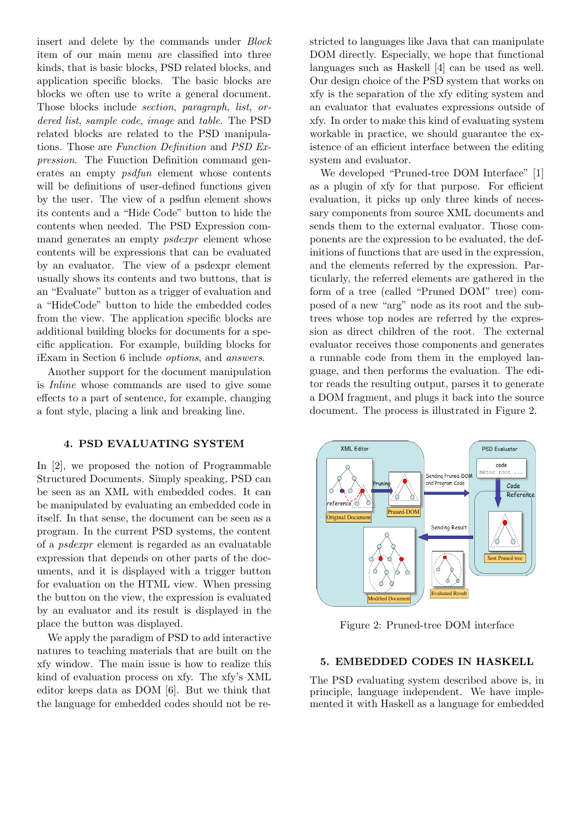insert and delete by the commands under *Block* item of our main menu are classified into three kinds, that is basic blocks, PSD related blocks, and application specific blocks. The basic blocks are blocks we often use to write a general document. Those blocks include *section*, *paragraph*, *list*, *ordered list*, *sample code*, *image* and *table*. The PSD related blocks are related to the PSD manipulations. Those are *Function Definition* and *PSD Expression*. The Function Definition command generates an empty *psdfun* element whose contents will be definitions of user-defined functions given by the user. The view of a psdfun element shows its contents and a "Hide Code" button to hide the contents when needed. The PSD Expression command generates an empty *psdexpr* element whose contents will be expressions that can be evaluated by an evaluator. The view of a psdexpr element usually shows its contents and two buttons, that is an "Evaluate" button as a trigger of evaluation and a "HideCode" button to hide the embedded codes from the view. The application specific blocks are additional building blocks for documents for a specific application. For example, building blocks for iExam in Section 6 include *options*, and *answers*.

Another support for the document manipulation is *Inline* whose commands are used to give some effects to a part of sentence, for example, changing a font style, placing a link and breaking line.

#### **4. PSD EVALUATING SYSTEM**

In [2], we proposed the notion of Programmable Structured Documents. Simply speaking, PSD can be seen as an XML with embedded codes. It can be manipulated by evaluating an embedded code in itself. In that sense, the document can be seen as a program. In the current PSD systems, the content of a *psdexpr* element is regarded as an evaluatable expression that depends on other parts of the documents, and it is displayed with a trigger button for evaluation on the HTML view. When pressing the button on the view, the expression is evaluated by an evaluator and its result is displayed in the place the button was displayed.

We apply the paradigm of PSD to add interactive natures to teaching materials that are built on the xfy window. The main issue is how to realize this kind of evaluation process on xfy. The xfy's XML editor keeps data as DOM [6]. But we think that the language for embedded codes should not be restricted to languages like Java that can manipulate DOM directly. Especially, we hope that functional languages such as Haskell [4] can be used as well. Our design choice of the PSD system that works on xfy is the separation of the xfy editing system and an evaluator that evaluates expressions outside of xfy. In order to make this kind of evaluating system workable in practice, we should guarantee the existence of an efficient interface between the editing system and evaluator.

We developed "Pruned-tree DOM Interface" [1] as a plugin of xfy for that purpose. For efficient evaluation, it picks up only three kinds of necessary components from source XML documents and sends them to the external evaluator. Those components are the expression to be evaluated, the definitions of functions that are used in the expression, and the elements referred by the expression. Particularly, the referred elements are gathered in the form of a tree (called "Pruned DOM" tree) composed of a new "arg" node as its root and the subtrees whose top nodes are referred by the expression as direct children of the root. The external evaluator receives those components and generates a runnable code from them in the employed language, and then performs the evaluation. The editor reads the resulting output, parses it to generate a DOM fragment, and plugs it back into the source document. The process is illustrated in Figure 2.



Figure 2: Pruned-tree DOM interface

#### **5. EMBEDDED CODES IN HASKELL**

The PSD evaluating system described above is, in principle, language independent. We have implemented it with Haskell as a language for embedded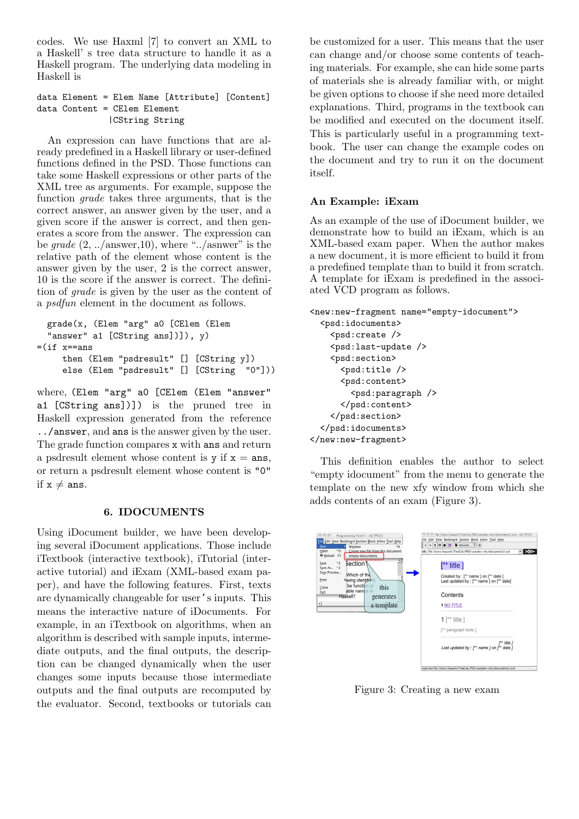codes. We use Haxml [7] to convert an XML to a Haskell' s tree data structure to handle it as a Haskell program. The underlying data modeling in Haskell is

data Element = Elem Name [Attribute] [Content] data Content = CElem Element |CString String

An expression can have functions that are already predefined in a Haskell library or user-defined functions defined in the PSD. Those functions can take some Haskell expressions or other parts of the XML tree as arguments. For example, suppose the function *grade* takes three arguments, that is the correct answer, an answer given by the user, and a given score if the answer is correct, and then generates a score from the answer. The expression can be *grade* (2, ../answer,10), where "../asnwer" is the relative path of the element whose content is the answer given by the user, 2 is the correct answer, 10 is the score if the answer is correct. The definition of *grade* is given by the user as the content of a *psdfun* element in the document as follows.

```
grade(x, (Elem "arg" a0 [CElem (Elem
  "answer" a1 [CString ans])]), y)
=(if x==ans)then (Elem "psdresult" [] [CString y])
     else (Elem "psdresult" [] [CString "0"]))
```
where, (Elem "arg" a0 [CElem (Elem "answer" a1 [CString ans])]) is the pruned tree in Haskell expression generated from the reference ../answer, and ans is the answer given by the user. The grade function compares x with ans and return a psdresult element whose content is  $y$  if  $x = \text{ans}$ , or return a psdresult element whose content is "0" if  $x \neq ans$ .

### **6. IDOCUMENTS**

Using iDocument builder, we have been developing several iDocument applications. Those include iTextbook (interactive textbook), iTutorial (interactive tutorial) and iExam (XML-based exam paper), and have the following features. First, texts are dynamically changeable for user's inputs. This means the interactive nature of iDocuments. For example, in an iTextbook on algorithms, when an algorithm is described with sample inputs, intermediate outputs, and the final outputs, the description can be changed dynamically when the user changes some inputs because those intermediate outputs and the final outputs are recomputed by the evaluator. Second, textbooks or tutorials can

be customized for a user. This means that the user can change and/or choose some contents of teaching materials. For example, she can hide some parts of materials she is already familiar with, or might be given options to choose if she need more detailed explanations. Third, programs in the textbook can be modified and executed on the document itself. This is particularly useful in a programming textbook. The user can change the example codes on the document and try to run it on the document itself.

#### **An Example: iExam**

As an example of the use of iDocument builder, we demonstrate how to build an iExam, which is an XML-based exam paper. When the author makes a new document, it is more efficient to build it from a predefined template than to build it from scratch. A template for iExam is predefined in the associated VCD program as follows.

```
<new:new-fragment name="empty-idocument">
  <psd:idocuments>
    <psd:create />
    <psd:last-update />
    <psd:section>
      <psd:title />
      <psd:content>
        <psd:paragraph />
      </psd:content>
    </psd:section>
  </psd:idocuments>
</new:new-fragment>
```
This definition enables the author to select "empty idocument" from the menu to generate the template on the new xfy window from which she adds contents of an exam (Figure 3).



Figure 3: Creating a new exam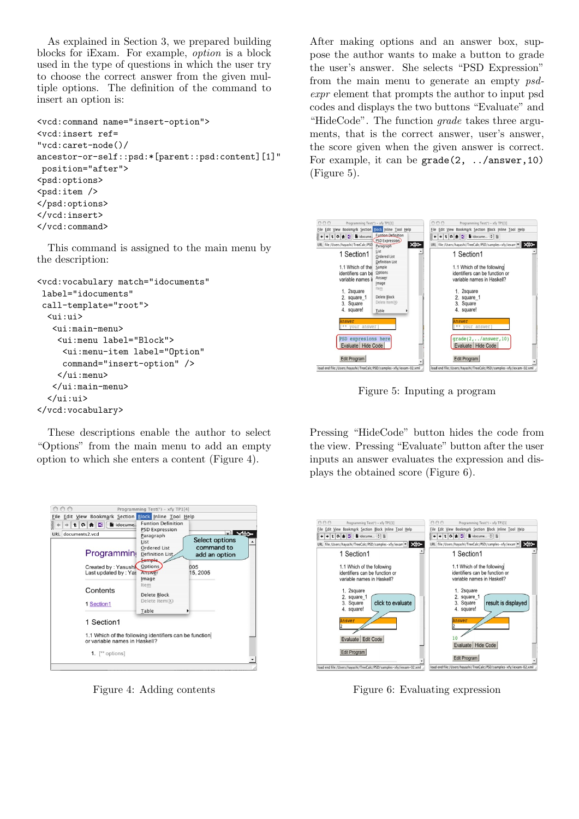As explained in Section 3, we prepared building blocks for iExam. For example, *option* is a block used in the type of questions in which the user try to choose the correct answer from the given multiple options. The definition of the command to insert an option is:

```
<vcd:command name="insert-option">
<vcd:insert ref=
"vcd:caret-node()/
ancestor-or-self::psd:*[parent::psd:content][1]"
position="after">
<psd:options>
<psd:item /</psd:options>
</vcd:insert>
\langle \text{Vcd:command}\rangle
```
This command is assigned to the main menu by the description:

```
<vcd:vocabulary match="idocuments"
label="idocuments"
 call-template="root">
  <ui:ui>
   <ui:main-menu>
    <ui:menu label="Block">
     <ui:menu-item label="Option"
     command="insert-option" />
    </ui:menu>
   </ui:main-menu>
  </ui:ui>
</vcd:vocabulary>
```
These descriptions enable the author to select "Options" from the main menu to add an empty option to which she enters a content (Figure 4).



Figure 4: Adding contents

After making options and an answer box, suppose the author wants to make a button to grade the user's answer. She selects "PSD Expression" from the main menu to generate an empty *psdexpr* element that prompts the author to input psd codes and displays the two buttons "Evaluate" and "HideCode". The function *grade* takes three arguments, that is the correct answer, user's answer, the score given when the given answer is correct. For example, it can be grade(2, ../answer,10) (Figure 5).



Figure 5: Inputing a program

Pressing "HideCode" button hides the code from the view. Pressing "Evaluate" button after the user inputs an answer evaluates the expression and displays the obtained score (Figure 6).



Figure 6: Evaluating expression